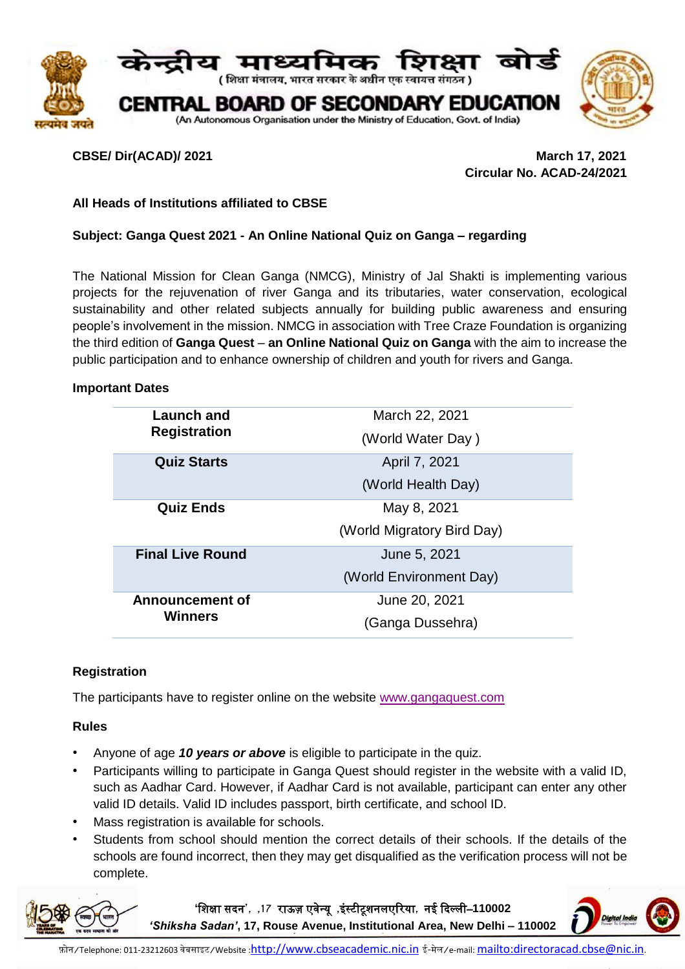

**CBSE/ Dir(ACAD)/ 2021 March 17, 2021 Circular No. ACAD-24/2021**

# **All Heads of Institutions affiliated to CBSE**

## **Subject: Ganga Quest 2021 - An Online National Quiz on Ganga – regarding**

The National Mission for Clean Ganga (NMCG), Ministry of Jal Shakti is implementing various projects for the rejuvenation of river Ganga and its tributaries, water conservation, ecological sustainability and other related subjects annually for building public awareness and ensuring people's involvement in the mission. NMCG in association with Tree Craze Foundation is organizing the third edition of **Ganga Quest** – **an Online National Quiz on Ganga** with the aim to increase the public participation and to enhance ownership of children and youth for rivers and Ganga.

#### **Important Dates**

| Launch and<br><b>Registration</b> | March 22, 2021<br>(World Water Day)       |
|-----------------------------------|-------------------------------------------|
| <b>Quiz Starts</b>                | April 7, 2021<br>(World Health Day)       |
| <b>Quiz Ends</b>                  | May 8, 2021<br>(World Migratory Bird Day) |
| <b>Final Live Round</b>           | June 5, 2021<br>(World Environment Day)   |
| Announcement of<br>Winners        | June 20, 2021<br>(Ganga Dussehra)         |

## **Registration**

The participants have to register online on the website [www.gangaquest.com](http://www.gangaquest.com/)

## **Rules**

- Anyone of age *10 years or above* is eligible to participate in the quiz.
- Participants willing to participate in Ganga Quest should register in the website with a valid ID, such as Aadhar Card. However, if Aadhar Card is not available, participant can enter any other valid ID details. Valid ID includes passport, birth certificate, and school ID.
- Mass registration is available for schools.
- Students from school should mention the correct details of their schools. If the details of the schools are found incorrect, then they may get disqualified as the verification process will not be complete.

**'**शिक्षा सदन**', ,17** राऊज़ एवेन्यू **,**इंस्टीटूिनलएररया**,** नई ददल्ली–**110002** 

*'Shiksha Sadan'***, 17, Rouse Avenue, Institutional Area, New Delhi – 110002**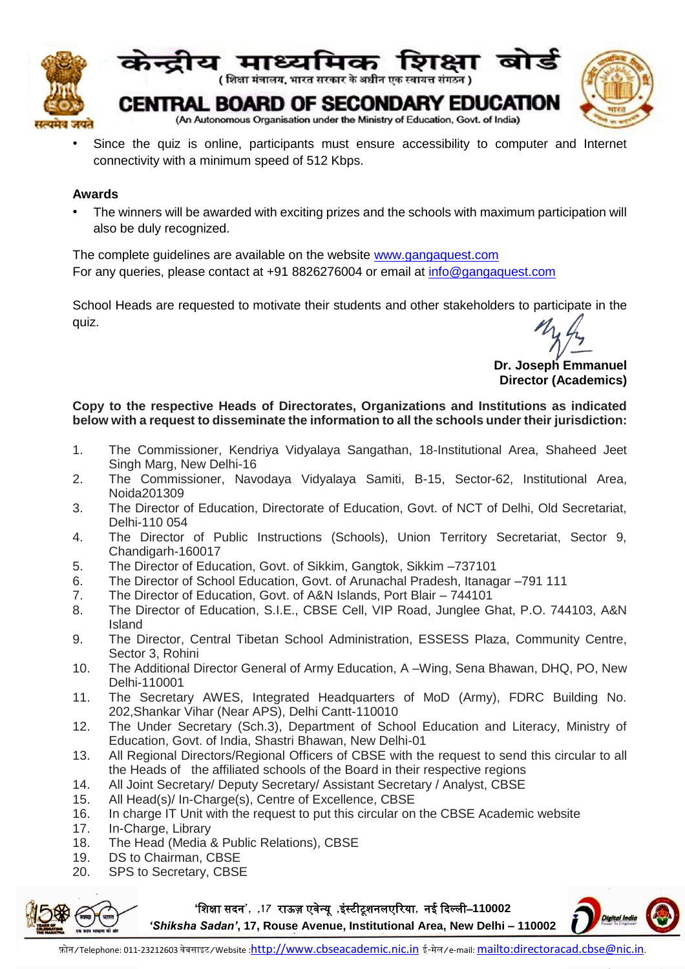

Since the quiz is online, participants must ensure accessibility to computer and Internet connectivity with a minimum speed of 512 Kbps.

# **Awards**

• The winners will be awarded with exciting prizes and the schools with maximum participation will also be duly recognized.

The complete guidelines are available on the website [www.gangaquest.com](http://www.gangaquest.com/) For any queries, please contact at +91 8826276004 or email at [info@gangaquest.com](mailto:info@gangaquest.com)

School Heads are requested to motivate their students and other stakeholders to participate in the quiz.

**Dr. Joseph Emmanuel Director (Academics)**

# **Copy to the respective Heads of Directorates, Organizations and Institutions as indicated below with a request to disseminate the information to all the schools under their jurisdiction:**

- 1. The Commissioner, Kendriya Vidyalaya Sangathan, 18-Institutional Area, Shaheed Jeet Singh Marg, New Delhi-16
- 2. The Commissioner, Navodaya Vidyalaya Samiti, B-15, Sector-62, Institutional Area, Noida201309
- 3. The Director of Education, Directorate of Education, Govt. of NCT of Delhi, Old Secretariat, Delhi-110 054
- 4. The Director of Public Instructions (Schools), Union Territory Secretariat, Sector 9, Chandigarh-160017
- 5. The Director of Education, Govt. of Sikkim, Gangtok, Sikkim –737101
- 6. The Director of School Education, Govt. of Arunachal Pradesh, Itanagar –791 111
- 7. The Director of Education, Govt. of A&N Islands, Port Blair 744101
- 8. The Director of Education, S.I.E., CBSE Cell, VIP Road, Junglee Ghat, P.O. 744103, A&N Island
- 9. The Director, Central Tibetan School Administration, ESSESS Plaza, Community Centre, Sector 3, Rohini
- 10. The Additional Director General of Army Education, A –Wing, Sena Bhawan, DHQ, PO, New Delhi-110001
- 11. The Secretary AWES, Integrated Headquarters of MoD (Army), FDRC Building No. 202,Shankar Vihar (Near APS), Delhi Cantt-110010
- 12. The Under Secretary (Sch.3), Department of School Education and Literacy, Ministry of Education, Govt. of India, Shastri Bhawan, New Delhi-01
- 13. All Regional Directors/Regional Officers of CBSE with the request to send this circular to all the Heads of the affiliated schools of the Board in their respective regions
- 14. All Joint Secretary/ Deputy Secretary/ Assistant Secretary / Analyst, CBSE
- 15. All Head(s)/ In-Charge(s), Centre of Excellence, CBSE
- 16. In charge IT Unit with the request to put this circular on the CBSE Academic website
- 17. In-Charge, Library
- 18. The Head (Media & Public Relations), CBSE
- 19. DS to Chairman, CBSE
- 20. SPS to Secretary, CBSE



**'**शिक्षा सदन**', ,17** राऊज़ एवेन्यू **,**इंस्टीटूिनलएररया**,** नई ददल्ली–**110002** 

*'Shiksha Sadan'***, 17, Rouse Avenue, Institutional Area, New Delhi – 110002**